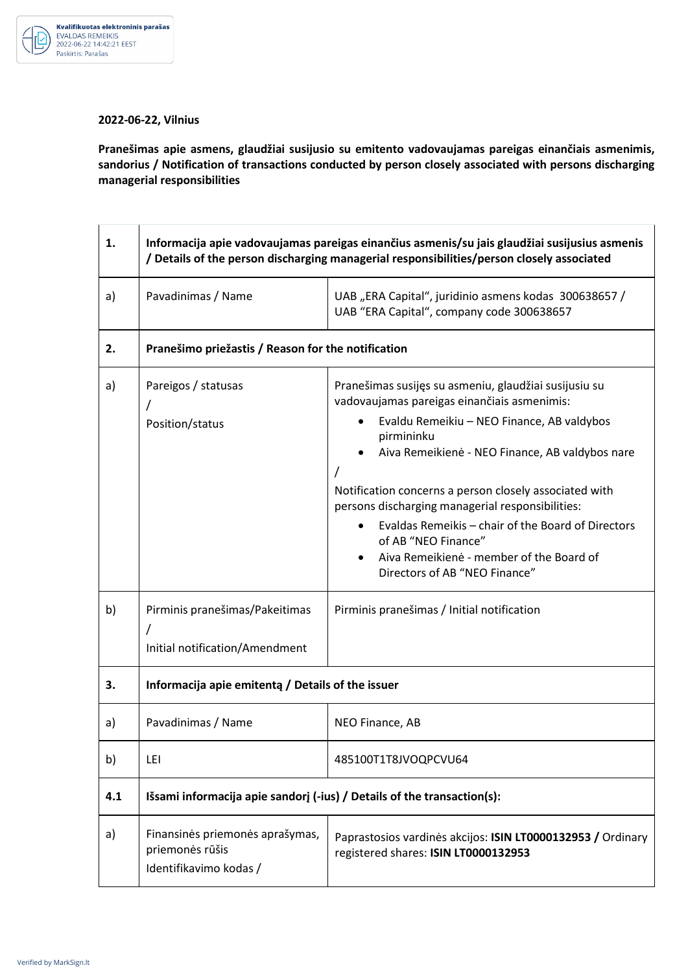

## **2022-06-22, Vilnius**

**Pranešimas apie asmens, glaudžiai susijusio su emitento vadovaujamas pareigas einančiais asmenimis, sandorius / Notification of transactions conducted by person closely associated with persons discharging managerial responsibilities** 

| 1.  | Informacija apie vadovaujamas pareigas einančius asmenis/su jais glaudžiai susijusius asmenis<br>/ Details of the person discharging managerial responsibilities/person closely associated |                                                                                                                                                                                                                                                                                                     |  |
|-----|--------------------------------------------------------------------------------------------------------------------------------------------------------------------------------------------|-----------------------------------------------------------------------------------------------------------------------------------------------------------------------------------------------------------------------------------------------------------------------------------------------------|--|
| a)  | Pavadinimas / Name                                                                                                                                                                         | UAB "ERA Capital", juridinio asmens kodas 300638657 /<br>UAB "ERA Capital", company code 300638657                                                                                                                                                                                                  |  |
| 2.  | Pranešimo priežastis / Reason for the notification                                                                                                                                         |                                                                                                                                                                                                                                                                                                     |  |
| a)  | Pareigos / statusas<br>Position/status                                                                                                                                                     | Pranešimas susijęs su asmeniu, glaudžiai susijusiu su<br>vadovaujamas pareigas einančiais asmenimis:<br>Evaldu Remeikiu - NEO Finance, AB valdybos<br>pirmininku                                                                                                                                    |  |
|     |                                                                                                                                                                                            | Aiva Remeikienė - NEO Finance, AB valdybos nare<br>Notification concerns a person closely associated with<br>persons discharging managerial responsibilities:<br>Evaldas Remeikis - chair of the Board of Directors<br>of AB "NEO Finance"<br>Aiva Remeikienė - member of the Board of<br>$\bullet$ |  |
|     |                                                                                                                                                                                            | Directors of AB "NEO Finance"                                                                                                                                                                                                                                                                       |  |
| b)  | Pirminis pranešimas/Pakeitimas<br>Initial notification/Amendment                                                                                                                           | Pirminis pranešimas / Initial notification                                                                                                                                                                                                                                                          |  |
| 3.  | Informacija apie emitenta / Details of the issuer                                                                                                                                          |                                                                                                                                                                                                                                                                                                     |  |
| a)  | Pavadinimas / Name                                                                                                                                                                         | NEO Finance, AB                                                                                                                                                                                                                                                                                     |  |
| b)  | LEI                                                                                                                                                                                        | 485100T1T8JVOQPCVU64                                                                                                                                                                                                                                                                                |  |
| 4.1 | Išsami informacija apie sandorj (-ius) / Details of the transaction(s):                                                                                                                    |                                                                                                                                                                                                                                                                                                     |  |
| a)  | Finansinės priemonės aprašymas,<br>priemonės rūšis<br>Identifikavimo kodas /                                                                                                               | Paprastosios vardinės akcijos: ISIN LT0000132953 / Ordinary<br>registered shares: ISIN LT0000132953                                                                                                                                                                                                 |  |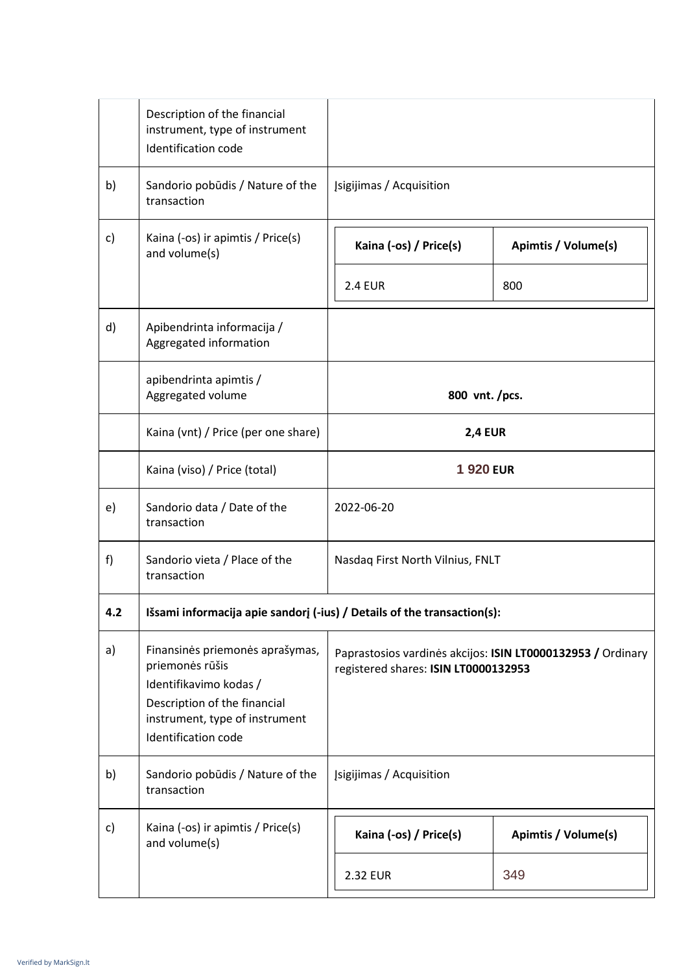|     | Description of the financial<br>instrument, type of instrument<br>Identification code                                                                                 |                                      |                                                             |
|-----|-----------------------------------------------------------------------------------------------------------------------------------------------------------------------|--------------------------------------|-------------------------------------------------------------|
| b)  | Sandorio pobūdis / Nature of the<br>transaction                                                                                                                       | Įsigijimas / Acquisition             |                                                             |
| c)  | Kaina (-os) ir apimtis / Price(s)<br>and volume(s)                                                                                                                    | Kaina (-os) / Price(s)               | Apimtis / Volume(s)                                         |
|     |                                                                                                                                                                       | <b>2.4 EUR</b>                       | 800                                                         |
| d)  | Apibendrinta informacija /<br>Aggregated information                                                                                                                  |                                      |                                                             |
|     | apibendrinta apimtis /<br>Aggregated volume                                                                                                                           | 800 vnt./pcs.                        |                                                             |
|     | Kaina (vnt) / Price (per one share)                                                                                                                                   | <b>2,4 EUR</b>                       |                                                             |
|     | Kaina (viso) / Price (total)                                                                                                                                          | <b>1920 EUR</b>                      |                                                             |
| e)  | Sandorio data / Date of the<br>transaction                                                                                                                            | 2022-06-20                           |                                                             |
| f)  | Sandorio vieta / Place of the<br>transaction                                                                                                                          | Nasdaq First North Vilnius, FNLT     |                                                             |
| 4.2 | Išsami informacija apie sandorį (-ius) / Details of the transaction(s):                                                                                               |                                      |                                                             |
| a)  | Finansinės priemonės aprašymas,<br>priemonės rūšis<br>Identifikavimo kodas /<br>Description of the financial<br>instrument, type of instrument<br>Identification code | registered shares: ISIN LT0000132953 | Paprastosios vardinės akcijos: ISIN LT0000132953 / Ordinary |
| b)  | Sandorio pobūdis / Nature of the<br>transaction                                                                                                                       | Įsigijimas / Acquisition             |                                                             |
| c)  | Kaina (-os) ir apimtis / Price(s)<br>and volume(s)                                                                                                                    | Kaina (-os) / Price(s)               | Apimtis / Volume(s)                                         |
|     |                                                                                                                                                                       | <b>2.32 EUR</b>                      | 349                                                         |